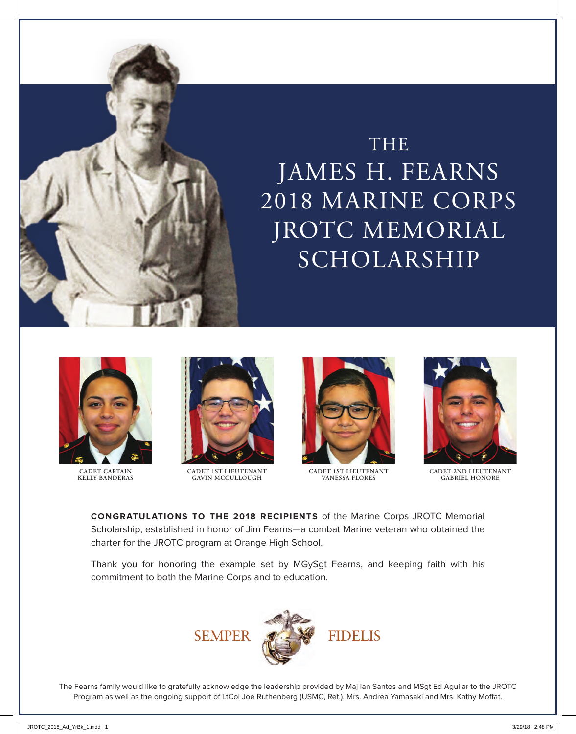



CADET CAPTAIN **KELLY BANDERAS**



OHS 2013 Final ROTC ad.pdf 1 3/12/13 9:21 AM

**CADET 1ST LIEUTENANT GAVIN MCCULLOUGH**



**CADET 1ST LIEUTENANT VANESSA FLORES**



**FORMER CADET 2ND LIEUTENANT GABRIEL HONORE**

*Cadet GySgt* Edward Sturgeon

**CONGRATULATIONS TO THE 2018 RECIPIENTS** of the Marine Corps JROTC Memorial contraction of the marine Corps JROTC Memorial charter for the JROTC program at Orange High School. Scholarship, established in honor of Jim Fearns—a combat Marine veteran who obtained the

*Cadet 2nd Lieutenant* Elias Towery Thank you for honoring the example set by MGySgt Fearns, and keeping faith with his commitment to both the Marine Corps and to education.



The Fearns family would like to gratefully acknowledge the leadership provided by Maj Ian Santos and MSgt Ed Aguilar to the JROTC Program as well as the ongoing support of LtCol Joe Ruthenberg (USMC, Ret.), Mrs. Andrea Yamasaki and Mrs. Kathy Moffat.

provided by CWO3 Bill Southern and MSgt Ed Aguilar to the